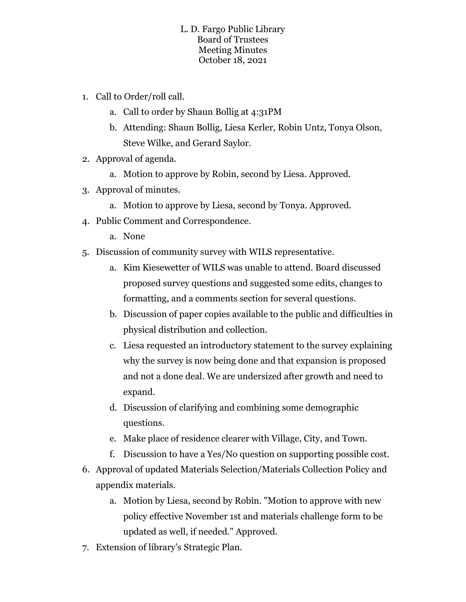## L. D. Fargo Public Library Board of Trustees Meeting Minutes October 18, 2021

- 1. Call to Order/roll call.
	- a. Call to order by Shaun Bollig at 4:31PM
	- b. Attending: Shaun Bollig, Liesa Kerler, Robin Untz, Tonya Olson, Steve Wilke, and Gerard Saylor.
- 2. Approval of agenda.
	- a. Motion to approve by Robin, second by Liesa. Approved.
- 3. Approval of minutes.
	- a. Motion to approve by Liesa, second by Tonya. Approved.
- 4. Public Comment and Correspondence.
	- a. None
- 5. Discussion of community survey with WILS representative.
	- a. Kim Kiesewetter of WILS was unable to attend. Board discussed proposed survey questions and suggested some edits, changes to formatting, and a comments section for several questions.
	- b. Discussion of paper copies available to the public and difficulties in physical distribution and collection.
	- c. Liesa requested an introductory statement to the survey explaining why the survey is now being done and that expansion is proposed and not a done deal. We are undersized after growth and need to expand.
	- d. Discussion of clarifying and combining some demographic questions.
	- e. Make place of residence clearer with Village, City, and Town.
	- f. Discussion to have a Yes/No question on supporting possible cost.
- 6. Approval of updated Materials Selection/Materials Collection Policy and appendix materials.
	- a. Motion by Liesa, second by Robin. "Motion to approve with new policy effective November 1st and materials challenge form to be updated as well, if needed." Approved.
- 7. Extension of library's Strategic Plan.